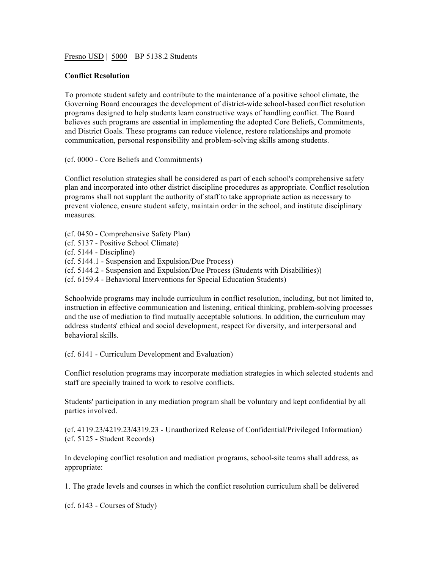Fresno USD | 5000 | BP 5138.2 Students

## **Conflict Resolution**

To promote student safety and contribute to the maintenance of a positive school climate, the Governing Board encourages the development of district-wide school-based conflict resolution programs designed to help students learn constructive ways of handling conflict. The Board believes such programs are essential in implementing the adopted Core Beliefs, Commitments, and District Goals. These programs can reduce violence, restore relationships and promote communication, personal responsibility and problem-solving skills among students.

(cf. 0000 - Core Beliefs and Commitments)

Conflict resolution strategies shall be considered as part of each school's comprehensive safety plan and incorporated into other district discipline procedures as appropriate. Conflict resolution programs shall not supplant the authority of staff to take appropriate action as necessary to prevent violence, ensure student safety, maintain order in the school, and institute disciplinary measures.

(cf. 0450 - Comprehensive Safety Plan) (cf. 5137 - Positive School Climate) (cf. 5144 - Discipline) (cf. 5144.1 - Suspension and Expulsion/Due Process) (cf. 5144.2 - Suspension and Expulsion/Due Process (Students with Disabilities)) (cf. 6159.4 - Behavioral Interventions for Special Education Students)

Schoolwide programs may include curriculum in conflict resolution, including, but not limited to, instruction in effective communication and listening, critical thinking, problem-solving processes and the use of mediation to find mutually acceptable solutions. In addition, the curriculum may address students' ethical and social development, respect for diversity, and interpersonal and behavioral skills.

(cf. 6141 - Curriculum Development and Evaluation)

Conflict resolution programs may incorporate mediation strategies in which selected students and staff are specially trained to work to resolve conflicts.

Students' participation in any mediation program shall be voluntary and kept confidential by all parties involved.

(cf. 4119.23/4219.23/4319.23 - Unauthorized Release of Confidential/Privileged Information) (cf. 5125 - Student Records)

In developing conflict resolution and mediation programs, school-site teams shall address, as appropriate:

1. The grade levels and courses in which the conflict resolution curriculum shall be delivered

(cf. 6143 - Courses of Study)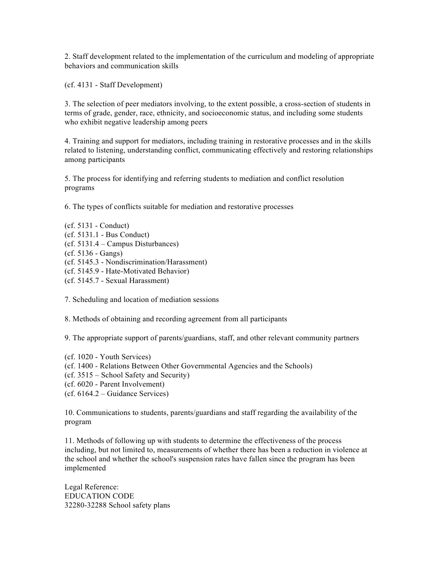2. Staff development related to the implementation of the curriculum and modeling of appropriate behaviors and communication skills

(cf. 4131 - Staff Development)

3. The selection of peer mediators involving, to the extent possible, a cross-section of students in terms of grade, gender, race, ethnicity, and socioeconomic status, and including some students who exhibit negative leadership among peers

4. Training and support for mediators, including training in restorative processes and in the skills related to listening, understanding conflict, communicating effectively and restoring relationships among participants

5. The process for identifying and referring students to mediation and conflict resolution programs

6. The types of conflicts suitable for mediation and restorative processes

(cf. 5131 - Conduct) (cf. 5131.1 - Bus Conduct) (cf. 5131.4 – Campus Disturbances) (cf. 5136 - Gangs) (cf. 5145.3 - Nondiscrimination/Harassment) (cf. 5145.9 - Hate-Motivated Behavior) (cf. 5145.7 - Sexual Harassment)

7. Scheduling and location of mediation sessions

8. Methods of obtaining and recording agreement from all participants

9. The appropriate support of parents/guardians, staff, and other relevant community partners

- (cf. 1020 Youth Services)
- (cf. 1400 Relations Between Other Governmental Agencies and the Schools)
- (cf. 3515 School Safety and Security)
- (cf. 6020 Parent Involvement)
- (cf. 6164.2 Guidance Services)

10. Communications to students, parents/guardians and staff regarding the availability of the program

11. Methods of following up with students to determine the effectiveness of the process including, but not limited to, measurements of whether there has been a reduction in violence at the school and whether the school's suspension rates have fallen since the program has been implemented

Legal Reference: EDUCATION CODE 32280-32288 School safety plans